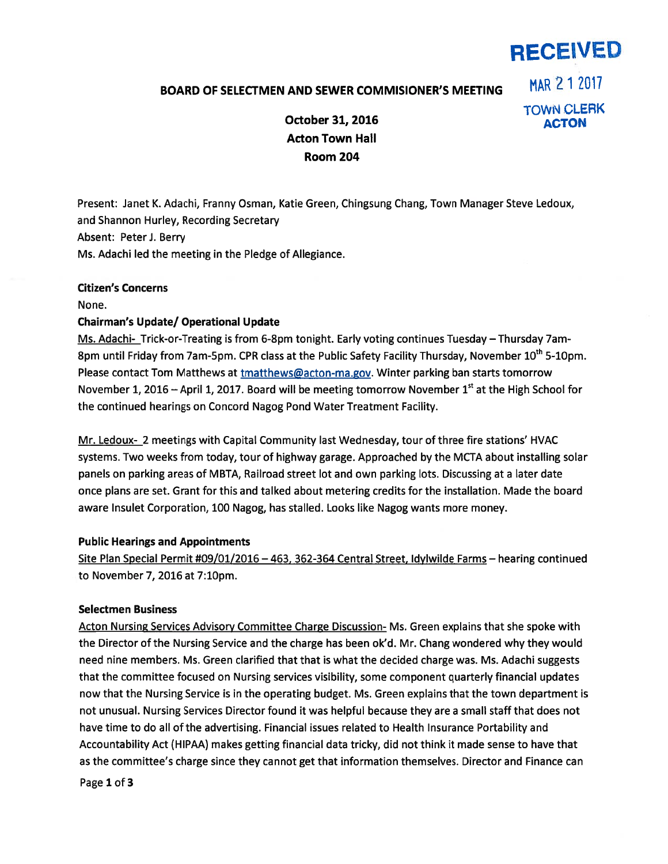

# BOARD OF SELECTMEN AND SEWER COMMISIONER'S MEETING MAR 2 1 2017

TOWN CLERK

October 31, 2016 ACTON Acton Town Hall Room 204

Present: Janet K. Adachi, Franny Osman, Katie Green, Chingsung Chang, Town Manager Steve Ledoux, and Shannon Hurley, Recording Secretary Absent: Peter J. Berry Ms. Adachi led the meeting in the Pledge of Allegiance.

#### Citizen's Concerns

None.

#### Chairman's Update/ Operational Update

Ms. Adachi- Trick-or-Treating is from 6-8pm tonight. Early voting continues Tuesday - Thursday 7am-8pm until Friday from 7am-5pm. CPR class at the Public Safety Facility Thursday, November 10<sup>th</sup> 5-10pm. Please contact Tom Matthews at tmatthews@acton-ma.gov. Winter parking ban starts tomorrow November 1, 2016 – April 1, 2017. Board will be meeting tomorrow November 1st at the High School for the continued hearings on Concord Nagog Pond Water Treatment Facility.

Mr. Ledoux- 2 meetings with Capital Community last Wednesday, tour of three fire stations' HVAC systems. Two weeks from today, tour of highway garage. Approached by the MCTA about installing solar panels on parking areas of MBTA, Railroad street lot and own parking lots. Discussing at <sup>a</sup> later date once plans are set. Grant for this and talked about metering credits for the installation. Made the board aware Insulet Corporation, 100 Nagog, has stalled. Looks like Nagog wants more money.

#### Public Hearings and Appointments

Site Plan Special Permit #09/01/2016 —463, 362-364 Central Street, Idylwilde Farms — hearing continued to November 7, 2016 at 7:10pm.

### Selectmen Business

Acton Nursing Services Advisory Committee Charge Discussion- Ms. Green explains that she spoke with the Director of the Nursing Service and the charge has been ok'd. Mr. Chang wondered why they would need nine members. Ms. Green clarified that that is what the decided charge was. Ms. Adachi suggests that the committee focused on Nursing services visibility, some componen<sup>t</sup> quarterly financial updates now that the Nursing Service is in the operating budget. Ms. Green explains that the town department is not unusual. Nursing Services Director found it was helpful because they are <sup>a</sup> small staff that does not have time to do all of the advertising. Financial issues related to Health Insurance Portability and Accountability Act (HIPAA) makes getting financial data tricky, did not think it made sense to have that as the committee's charge since they cannot ge<sup>t</sup> that information themselves. Director and Finance can

Page 1 of 3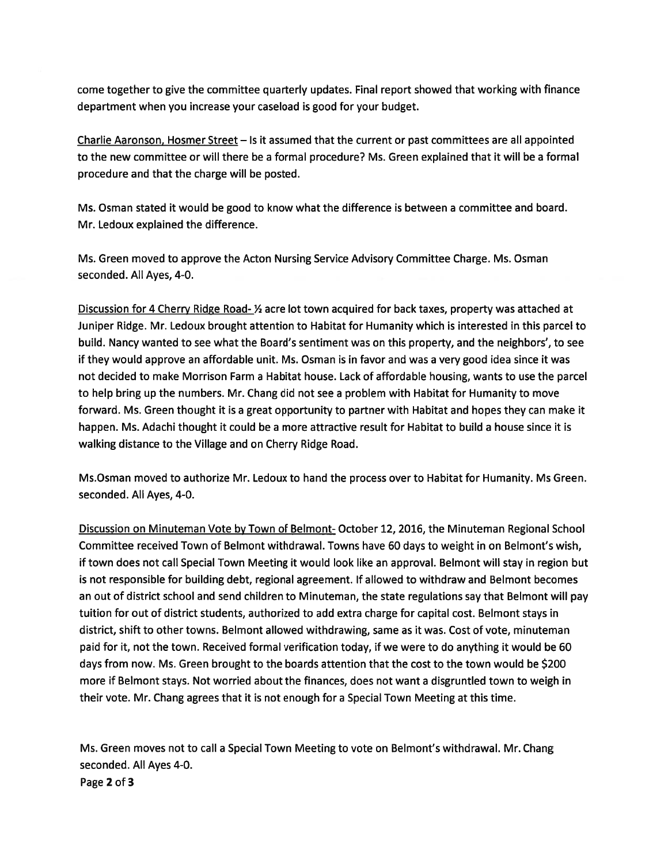come together to give the committee quarterly updates. Final repor<sup>t</sup> showed that working with finance department when you increase your caseload is good for your budget.

Charlie Aaronson, Hosmer Street — Is it assumed that the current or pas<sup>t</sup> committees are all appointed to the new committee or will there be <sup>a</sup> formal procedure? Ms. Green explained that it will be <sup>a</sup> formal procedure and that the charge will be posted.

Ms. Osman stated it would be good to know what the difference is between <sup>a</sup> committee and board. Mr. Ledoux explained the difference.

Ms. Green moved to approve the Acton Nursing Service Advisory Committee Charge. Ms. Osman seconded. All Ayes, 4-0.

Discussion for 4 Cherry Ridge Road- ½ acre lot town acquired for back taxes, property was attached at Juniper Ridge. Mr. Ledoux brought attention to Habitat for Humanity which is interested in this parcel to build. Nancy wanted to see what the Board's sentiment was on this property, and the neighbors', to see if they would approve an affordable unit. Ms. Osman is in favor and was <sup>a</sup> very good idea since it was not decided to make Morrison Farm <sup>a</sup> Habitat house. Lack of affordable housing, wants to use the parcel to help bring up the numbers. Mr. Chang did not see <sup>a</sup> problem with Habitat for Humanity to move forward. Ms. Green thought it is <sup>a</sup> grea<sup>t</sup> opportunity to partner with Habitat and hopes they can make it happen. Ms. Adachi thought it could be <sup>a</sup> more attractive result for Habitat to build <sup>a</sup> house since it is walking distance to the Village and on Cherry Ridge Road.

Ms.Osman moved to authorize Mr. Ledoux to hand the process over to Habitat for Humanity. Ms Green. seconded. All Ayes, 4-0.

Discussion on Minuteman Vote by Town of Belmont- October 12, 2016, the Minuteman Regional School Committee received Town of Belmont withdrawal. Towns have 60 days to weight in on Belmont's wish, if town does not call Special Town Meeting it would look like an approval. Belmont will stay in region but is not responsible for building debt, regional agreement. If allowed to withdraw and Belmont becomes an out of district school and send children to Minuteman, the state regulations say that Belmont will pay tuition for out of district students, authorized to add extra charge for capital cost. Belmont stays in district, shift to other towns. Belmont allowed withdrawing, same as it was. Cost of vote, minuteman paid for it, not the town. Received formal verification today, if we were to do anything it would be 60 days from now. Ms. Green brought to the boards attention that the cost to the town would be \$200 more if Belmont stays. Not worried about the finances, does not want <sup>a</sup> disgruntled town to weigh in their vote. Mr. Chang agrees that it is not enough for <sup>a</sup> Special Town Meeting at this time.

Ms. Green moves not to call <sup>a</sup> Special Town Meeting to vote on Belmont's withdrawal. Mr. Chang seconded. All Ayes 4-0. Page 2 of 3